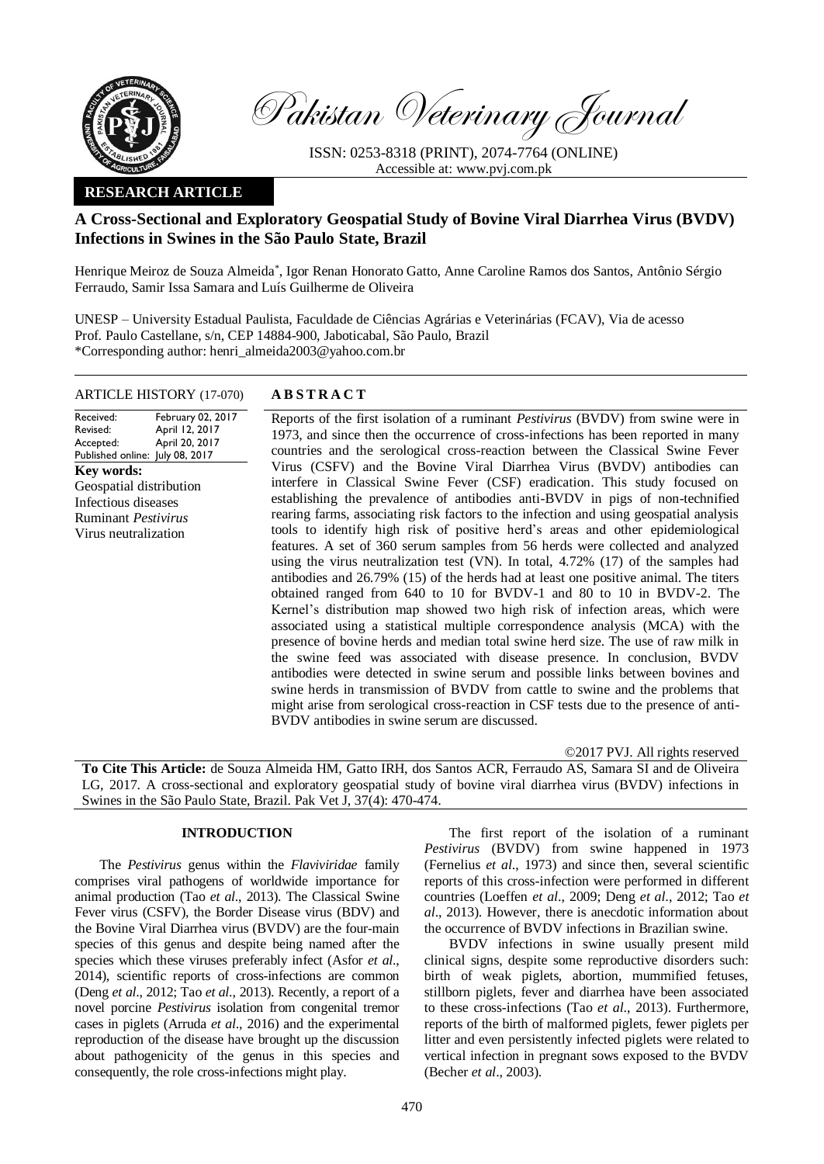

Pakistan Veterinary Journal

ISSN: 0253-8318 (PRINT), 2074-7764 (ONLINE) Accessible at: [www.pvj.com.pk](http://www.pvj.com.pk/)

## **RESEARCH ARTICLE**

# **A Cross-Sectional and Exploratory Geospatial Study of Bovine Viral Diarrhea Virus (BVDV) Infections in Swines in the São Paulo State, Brazil**

Henrique Meiroz de Souza Almeida\* , Igor Renan Honorato Gatto, Anne Caroline Ramos dos Santos, Antônio Sérgio Ferraudo, Samir Issa Samara and Luís Guilherme de Oliveira

UNESP – University Estadual Paulista, Faculdade de Ciências Agrárias e Veterinárias (FCAV), Via de acesso Prof. Paulo Castellane, s/n, CEP 14884-900, Jaboticabal, São Paulo, Brazil \*Corresponding author: henri\_almeida2003@yahoo.com.br

## ARTICLE HISTORY (17-070) **A B S T R A C T**

Received: Revised: Accepted: Published online: July 08, 2017 February 02, 2017 April 12, 2017 April 20, 2017 **Key words:**  Geospatial distribution Infectious diseases Ruminant *Pestivirus* Virus neutralization

Reports of the first isolation of a ruminant *Pestivirus* (BVDV) from swine were in 1973, and since then the occurrence of cross-infections has been reported in many countries and the serological cross-reaction between the Classical Swine Fever Virus (CSFV) and the Bovine Viral Diarrhea Virus (BVDV) antibodies can interfere in Classical Swine Fever (CSF) eradication. This study focused on establishing the prevalence of antibodies anti-BVDV in pigs of non-technified rearing farms, associating risk factors to the infection and using geospatial analysis tools to identify high risk of positive herd's areas and other epidemiological features. A set of 360 serum samples from 56 herds were collected and analyzed using the virus neutralization test (VN). In total, 4.72% (17) of the samples had antibodies and 26.79% (15) of the herds had at least one positive animal. The titers obtained ranged from 640 to 10 for BVDV-1 and 80 to 10 in BVDV-2. The Kernel's distribution map showed two high risk of infection areas, which were associated using a statistical multiple correspondence analysis (MCA) with the presence of bovine herds and median total swine herd size. The use of raw milk in the swine feed was associated with disease presence. In conclusion, BVDV antibodies were detected in swine serum and possible links between bovines and swine herds in transmission of BVDV from cattle to swine and the problems that might arise from serological cross-reaction in CSF tests due to the presence of anti-BVDV antibodies in swine serum are discussed.

©2017 PVJ. All rights reserved

**To Cite This Article:** de Souza Almeida HM, Gatto IRH, dos Santos ACR, Ferraudo AS, Samara SI and de Oliveira LG, 2017. A cross-sectional and exploratory geospatial study of bovine viral diarrhea virus (BVDV) infections in Swines in the São Paulo State, Brazil. Pak Vet J, 37(4): 470-474.

## **INTRODUCTION**

The *Pestivirus* genus within the *Flaviviridae* family comprises viral pathogens of worldwide importance for animal production (Tao *et al*., 2013). The Classical Swine Fever virus (CSFV), the Border Disease virus (BDV) and the Bovine Viral Diarrhea virus (BVDV) are the four-main species of this genus and despite being named after the species which these viruses preferably infect (Asfor *et al*., 2014), scientific reports of cross-infections are common (Deng *et al*., 2012; Tao *et al*., 2013). Recently, a report of a novel porcine *Pestivirus* isolation from congenital tremor cases in piglets (Arruda *et al*., 2016) and the experimental reproduction of the disease have brought up the discussion about pathogenicity of the genus in this species and consequently, the role cross-infections might play.

The first report of the isolation of a ruminant *Pestivirus* (BVDV) from swine happened in 1973 (Fernelius *et al*., 1973) and since then, several scientific reports of this cross-infection were performed in different countries (Loeffen *et al*., 2009; Deng *et al*., 2012; Tao *et al*., 2013). However, there is anecdotic information about the occurrence of BVDV infections in Brazilian swine.

BVDV infections in swine usually present mild clinical signs, despite some reproductive disorders such: birth of weak piglets, abortion, mummified fetuses, stillborn piglets, fever and diarrhea have been associated to these cross-infections (Tao *et al*., 2013). Furthermore, reports of the birth of malformed piglets, fewer piglets per litter and even persistently infected piglets were related to vertical infection in pregnant sows exposed to the BVDV (Becher *et al*., 2003).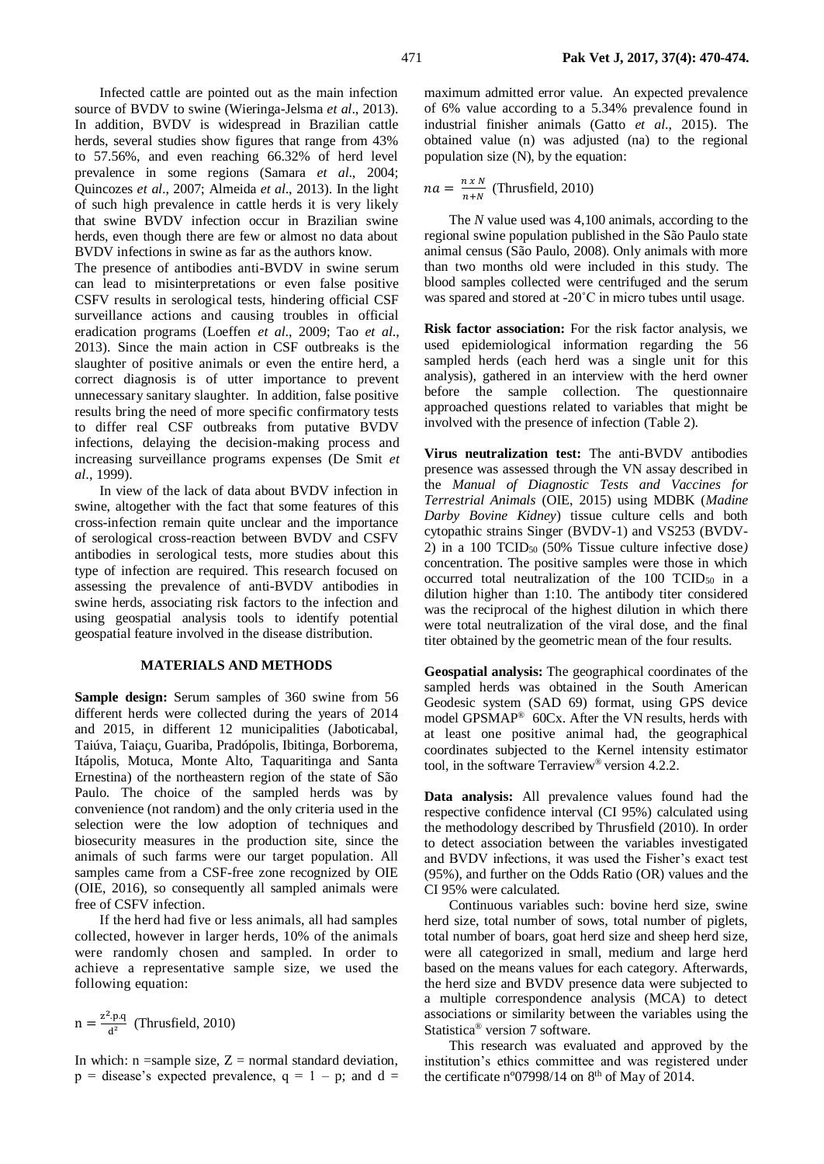Infected cattle are pointed out as the main infection source of BVDV to swine (Wieringa-Jelsma *et al*., 2013). In addition, BVDV is widespread in Brazilian cattle herds, several studies show figures that range from 43% to 57.56%, and even reaching 66.32% of herd level prevalence in some regions (Samara *et al*., 2004; Quincozes *et al*., 2007; Almeida *et al*., 2013). In the light of such high prevalence in cattle herds it is very likely that swine BVDV infection occur in Brazilian swine herds, even though there are few or almost no data about BVDV infections in swine as far as the authors know.

The presence of antibodies anti-BVDV in swine serum can lead to misinterpretations or even false positive CSFV results in serological tests, hindering official CSF surveillance actions and causing troubles in official eradication programs (Loeffen *et al*., 2009; Tao *et al*., 2013). Since the main action in CSF outbreaks is the slaughter of positive animals or even the entire herd, a correct diagnosis is of utter importance to prevent unnecessary sanitary slaughter. In addition, false positive results bring the need of more specific confirmatory tests to differ real CSF outbreaks from putative BVDV infections, delaying the decision-making process and increasing surveillance programs expenses (De Smit *et al*., 1999).

In view of the lack of data about BVDV infection in swine, altogether with the fact that some features of this cross-infection remain quite unclear and the importance of serological cross-reaction between BVDV and CSFV antibodies in serological tests, more studies about this type of infection are required. This research focused on assessing the prevalence of anti-BVDV antibodies in swine herds, associating risk factors to the infection and using geospatial analysis tools to identify potential geospatial feature involved in the disease distribution.

#### **MATERIALS AND METHODS**

**Sample design:** Serum samples of 360 swine from 56 different herds were collected during the years of 2014 and 2015, in different 12 municipalities (Jaboticabal, Taiúva, Taiaçu, Guariba, Pradópolis, Ibitinga, Borborema, Itápolis, Motuca, Monte Alto, Taquaritinga and Santa Ernestina) of the northeastern region of the state of São Paulo. The choice of the sampled herds was by convenience (not random) and the only criteria used in the selection were the low adoption of techniques and biosecurity measures in the production site, since the animals of such farms were our target population. All samples came from a CSF-free zone recognized by OIE (OIE, 2016), so consequently all sampled animals were free of CSFV infection.

If the herd had five or less animals, all had samples collected, however in larger herds, 10% of the animals were randomly chosen and sampled. In order to achieve a representative sample size, we used the following equation:

$$
n = \frac{z^2.p.q}{d^2}
$$
 (Thrustield, 2010)

In which:  $n =$ sample size,  $Z =$  normal standard deviation,  $p =$  disease's expected prevalence,  $q = 1 - p$ ; and  $d =$  maximum admitted error value. An expected prevalence of 6% value according to a 5.34% prevalence found in industrial finisher animals (Gatto *et al*., 2015). The obtained value (n) was adjusted (na) to the regional population size (N), by the equation:

$$
na = \frac{n \times N}{n+N}
$$
 (Thrusfield, 2010)

The *N* value used was 4,100 animals, according to the regional swine population published in the São Paulo state animal census (São Paulo, 2008). Only animals with more than two months old were included in this study. The blood samples collected were centrifuged and the serum was spared and stored at -20<sup>°</sup>C in micro tubes until usage.

**Risk factor association:** For the risk factor analysis, we used epidemiological information regarding the 56 sampled herds (each herd was a single unit for this analysis), gathered in an interview with the herd owner before the sample collection. The questionnaire approached questions related to variables that might be involved with the presence of infection (Table 2).

**Virus neutralization test:** The anti-BVDV antibodies presence was assessed through the VN assay described in the *Manual of Diagnostic Tests and Vaccines for Terrestrial Animals* (OIE, 2015) using MDBK (*Madine Darby Bovine Kidney*) tissue culture cells and both cytopathic strains Singer (BVDV-1) and VS253 (BVDV-2) in a 100 TCID50 (50% Tissue culture infective dose*)* concentration. The positive samples were those in which occurred total neutralization of the 100  $TCID_{50}$  in a dilution higher than 1:10. The antibody titer considered was the reciprocal of the highest dilution in which there were total neutralization of the viral dose, and the final titer obtained by the geometric mean of the four results.

**Geospatial analysis:** The geographical coordinates of the sampled herds was obtained in the South American Geodesic system (SAD 69) format, using GPS device model GPSMAP® 60Cx. After the VN results, herds with at least one positive animal had, the geographical coordinates subjected to the Kernel intensity estimator tool, in the software Terraview® version 4.2.2.

**Data analysis:** All prevalence values found had the respective confidence interval (CI 95%) calculated using the methodology described by Thrusfield (2010). In order to detect association between the variables investigated and BVDV infections, it was used the Fisher's exact test (95%), and further on the Odds Ratio (OR) values and the CI 95% were calculated.

Continuous variables such: bovine herd size, swine herd size, total number of sows, total number of piglets, total number of boars, goat herd size and sheep herd size, were all categorized in small, medium and large herd based on the means values for each category. Afterwards, the herd size and BVDV presence data were subjected to a multiple correspondence analysis (MCA) to detect associations or similarity between the variables using the Statistica® version 7 software.

This research was evaluated and approved by the institution's ethics committee and was registered under the certificate n°07998/14 on  $8<sup>th</sup>$  of May of 2014.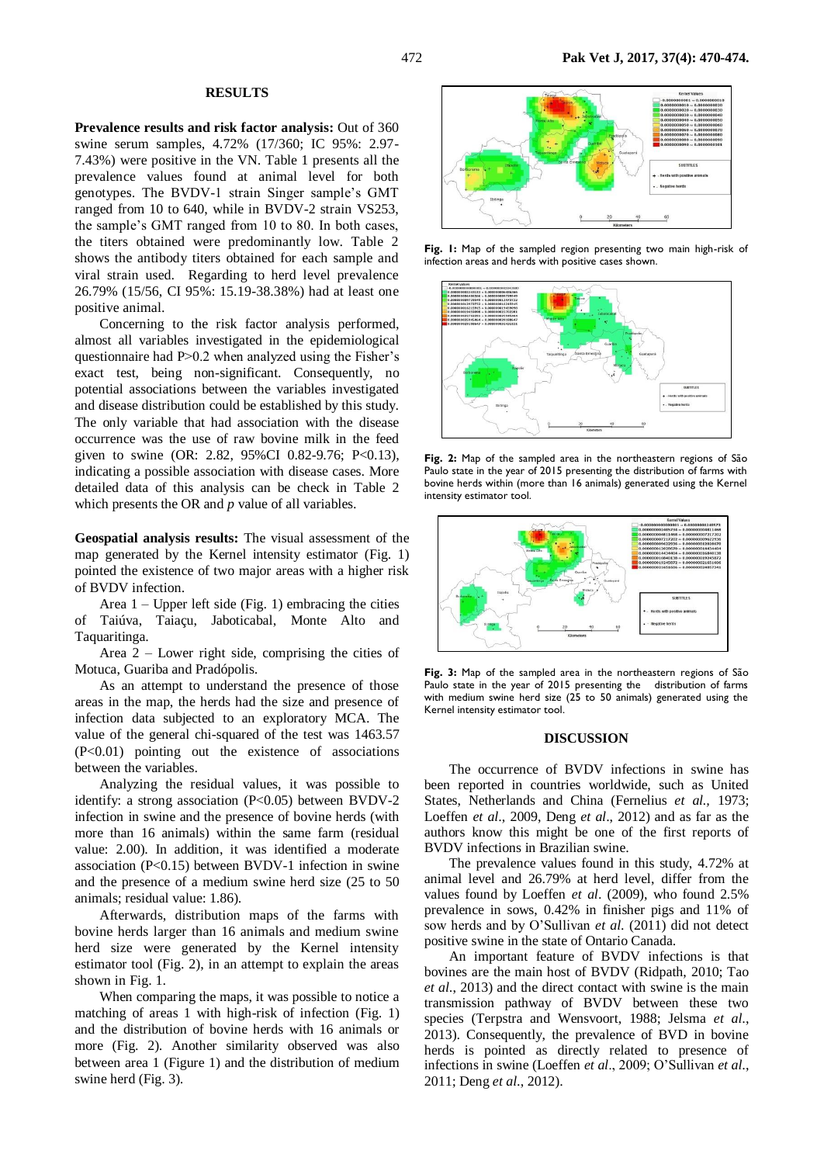#### **RESULTS**

**Prevalence results and risk factor analysis:** Out of 360 swine serum samples, 4.72% (17/360; IC 95%: 2.97- 7.43%) were positive in the VN. Table 1 presents all the prevalence values found at animal level for both genotypes. The BVDV-1 strain Singer sample's GMT ranged from 10 to 640, while in BVDV-2 strain VS253, the sample's GMT ranged from 10 to 80. In both cases, the titers obtained were predominantly low. Table 2 shows the antibody titers obtained for each sample and viral strain used. Regarding to herd level prevalence 26.79% (15/56, CI 95%: 15.19-38.38%) had at least one positive animal.

Concerning to the risk factor analysis performed, almost all variables investigated in the epidemiological questionnaire had P>0.2 when analyzed using the Fisher's exact test, being non-significant. Consequently, no potential associations between the variables investigated and disease distribution could be established by this study. The only variable that had association with the disease occurrence was the use of raw bovine milk in the feed given to swine (OR: 2.82, 95%CI 0.82-9.76; P<0.13), indicating a possible association with disease cases. More detailed data of this analysis can be check in Table 2 which presents the OR and *p* value of all variables.

**Geospatial analysis results:** The visual assessment of the map generated by the Kernel intensity estimator (Fig. 1) pointed the existence of two major areas with a higher risk of BVDV infection.

Area  $1$  – Upper left side (Fig. 1) embracing the cities of Taiúva, Taiaçu, Jaboticabal, Monte Alto and Taquaritinga.

Area 2 – Lower right side, comprising the cities of Motuca, Guariba and Pradópolis.

As an attempt to understand the presence of those areas in the map, the herds had the size and presence of infection data subjected to an exploratory MCA. The value of the general chi-squared of the test was 1463.57  $(P<0.01)$  pointing out the existence of associations between the variables.

Analyzing the residual values, it was possible to identify: a strong association (P<0.05) between BVDV-2 infection in swine and the presence of bovine herds (with more than 16 animals) within the same farm (residual value: 2.00). In addition, it was identified a moderate association (P<0.15) between BVDV-1 infection in swine and the presence of a medium swine herd size (25 to 50 animals; residual value: 1.86).

Afterwards, distribution maps of the farms with bovine herds larger than 16 animals and medium swine herd size were generated by the Kernel intensity estimator tool (Fig. 2), in an attempt to explain the areas shown in Fig. 1.

When comparing the maps, it was possible to notice a matching of areas 1 with high-risk of infection (Fig. 1) and the distribution of bovine herds with 16 animals or more (Fig. 2). Another similarity observed was also between area 1 (Figure 1) and the distribution of medium swine herd (Fig. 3).



**Fig. 1:** Map of the sampled region presenting two main high-risk of infection areas and herds with positive cases shown.



**Fig. 2:** Map of the sampled area in the northeastern regions of São Paulo state in the year of 2015 presenting the distribution of farms with bovine herds within (more than 16 animals) generated using the Kernel intensity estimator tool.



**Fig. 3:** Map of the sampled area in the northeastern regions of São Paulo state in the year of 2015 presenting the distribution of farms with medium swine herd size (25 to 50 animals) generated using the Kernel intensity estimator tool.

### **DISCUSSION**

The occurrence of BVDV infections in swine has been reported in countries worldwide, such as United States, Netherlands and China (Fernelius *et al.,* 1973; Loeffen *et al*., 2009, Deng *et al*., 2012) and as far as the authors know this might be one of the first reports of BVDV infections in Brazilian swine.

The prevalence values found in this study, 4.72% at animal level and 26.79% at herd level, differ from the values found by Loeffen *et al*. (2009), who found 2.5% prevalence in sows, 0.42% in finisher pigs and 11% of sow herds and by O'Sullivan *et al*. (2011) did not detect positive swine in the state of Ontario Canada.

An important feature of BVDV infections is that bovines are the main host of BVDV (Ridpath, 2010; Tao *et al*., 2013) and the direct contact with swine is the main transmission pathway of BVDV between these two species (Terpstra and Wensvoort, 1988; Jelsma *et al*., 2013). Consequently, the prevalence of BVD in bovine herds is pointed as directly related to presence of infections in swine (Loeffen *et al*., 2009; O'Sullivan *et al*., 2011; Deng *et al*., 2012).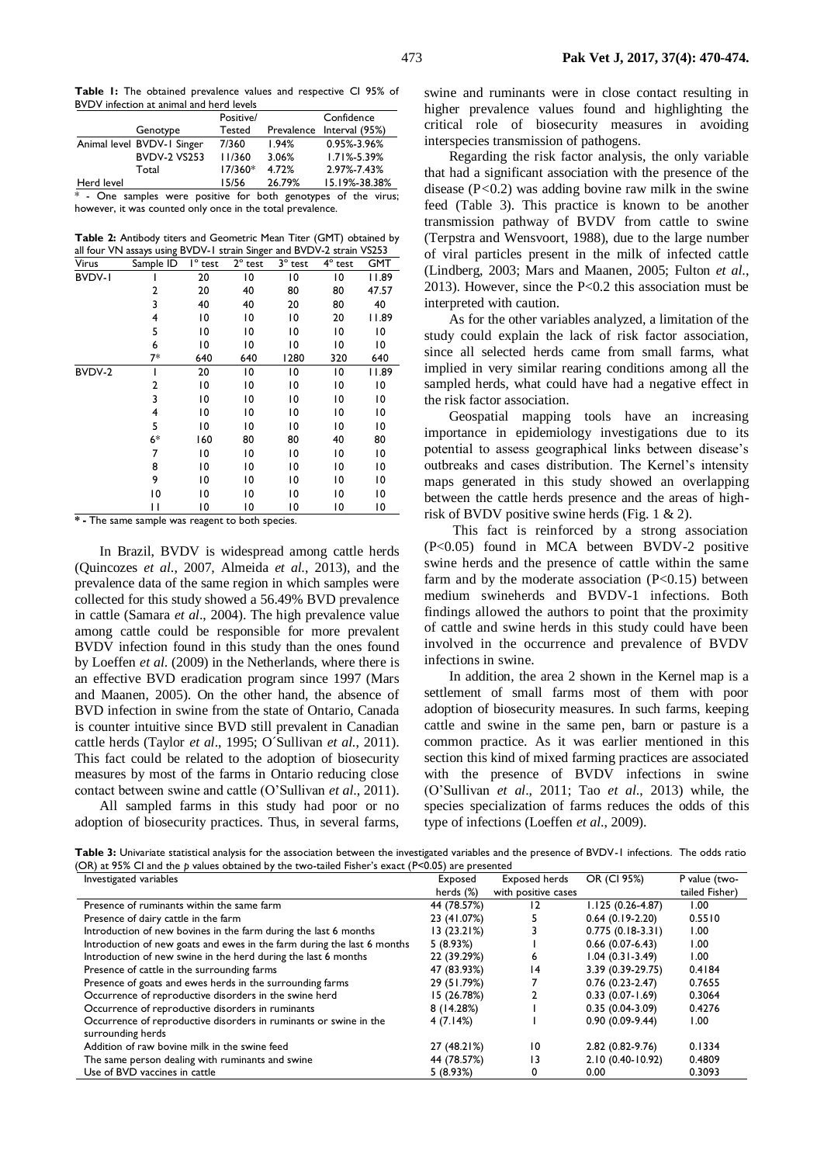**Table 1:** The obtained prevalence values and respective CI 95% of BVDV infection at animal and herd levels

|            |                                                                | Positive/ |        | Confidence                |  |  |
|------------|----------------------------------------------------------------|-----------|--------|---------------------------|--|--|
|            | Genotype                                                       | Tested    |        | Prevalence Interval (95%) |  |  |
|            | Animal level BVDV-1 Singer                                     | 7/360     | 1.94%  | 0.95%-3.96%               |  |  |
|            | <b>BVDV-2 VS253</b>                                            | 11/360    | 3.06%  | $1.71\% - 5.39\%$         |  |  |
|            | Total                                                          | 17/360*   | 4.72%  | 2.97%-7.43%               |  |  |
| Herd level |                                                                | 15/56     | 26.79% | 15.19%-38.38%             |  |  |
|            | * - One samples were positive for both genotypes of the virus; |           |        |                           |  |  |

however, it was counted only once in the total prevalence.

**Table 2:** Antibody titers and Geometric Mean Titer (GMT) obtained by all four VN assays using BVDV-1 strain Singer and BVDV-2 strain VS253

| Virus         | Sample ID      | $l^{\circ}$ test | $2^{\circ}$ test | $3^\circ$ test | $4^\circ$ test | GMT   |
|---------------|----------------|------------------|------------------|----------------|----------------|-------|
| <b>BVDV-I</b> |                | 20               | 10               | 10             | 10             | 11.89 |
|               | $\overline{2}$ | 20               | 40               | 80             | 80             | 47.57 |
|               | 3              | 40               | 40               | 20             | 80             | 40    |
|               | 4              | 10               | 10               | 10             | 20             | 11.89 |
|               | 5              | 10               | 10               | 10             | 10             | 10    |
|               | 6              | 10               | 10               | 10             | 10             | 10    |
|               | $7*$           | 640              | 640              | 1280           | 320            | 640   |
| BVDV-2        | I              | 20               | 10               | 10             | 10             | 11.89 |
|               | $\overline{2}$ | 10               | 10               | $\overline{0}$ | 10             | 10    |
|               | 3              | 10               | 10               | 10             | 10             | 10    |
|               | 4              | 10               | 10               | 10             | 10             | 10    |
|               | 5              | 10               | 10               | 10             | 10             | 10    |
|               | $6*$           | 160              | 80               | 80             | 40             | 80    |
|               | 7              | 10               | 10               | 10             | 10             | 10    |
|               | 8              | 10               | 10               | 10             | 10             | 10    |
|               | 9              | 10               | 10               | 10             | 10             | 10    |
|               | 10             | 10               | 10               | 10             | 10             | 10    |
|               | Ħ              | 10               | 10               | 10             | 10             | 10    |

**\* -** The same sample was reagent to both species.

In Brazil, BVDV is widespread among cattle herds (Quincozes *et al*., 2007, Almeida *et al*., 2013), and the prevalence data of the same region in which samples were collected for this study showed a 56.49% BVD prevalence in cattle (Samara *et al*., 2004). The high prevalence value among cattle could be responsible for more prevalent BVDV infection found in this study than the ones found by Loeffen *et al*. (2009) in the Netherlands, where there is an effective BVD eradication program since 1997 (Mars and Maanen, 2005). On the other hand, the absence of BVD infection in swine from the state of Ontario, Canada is counter intuitive since BVD still prevalent in Canadian cattle herds (Taylor *et al*., 1995; O´Sullivan *et al*., 2011). This fact could be related to the adoption of biosecurity measures by most of the farms in Ontario reducing close contact between swine and cattle (O'Sullivan *et al*., 2011).

All sampled farms in this study had poor or no adoption of biosecurity practices. Thus, in several farms,

swine and ruminants were in close contact resulting in higher prevalence values found and highlighting the critical role of biosecurity measures in avoiding interspecies transmission of pathogens.

Regarding the risk factor analysis, the only variable that had a significant association with the presence of the disease (P*<*0.2) was adding bovine raw milk in the swine feed (Table 3). This practice is known to be another transmission pathway of BVDV from cattle to swine (Terpstra and Wensvoort, 1988), due to the large number of viral particles present in the milk of infected cattle (Lindberg, 2003; Mars and Maanen, 2005; Fulton *et al*., 2013). However, since the P<0.2 this association must be interpreted with caution.

As for the other variables analyzed, a limitation of the study could explain the lack of risk factor association, since all selected herds came from small farms, what implied in very similar rearing conditions among all the sampled herds, what could have had a negative effect in the risk factor association.

Geospatial mapping tools have an increasing importance in epidemiology investigations due to its potential to assess geographical links between disease's outbreaks and cases distribution. The Kernel's intensity maps generated in this study showed an overlapping between the cattle herds presence and the areas of highrisk of BVDV positive swine herds (Fig. 1 & 2).

This fact is reinforced by a strong association (P<0.05) found in MCA between BVDV-2 positive swine herds and the presence of cattle within the same farm and by the moderate association  $(P<0.15)$  between medium swineherds and BVDV-1 infections. Both findings allowed the authors to point that the proximity of cattle and swine herds in this study could have been involved in the occurrence and prevalence of BVDV infections in swine.

In addition, the area 2 shown in the Kernel map is a settlement of small farms most of them with poor adoption of biosecurity measures. In such farms, keeping cattle and swine in the same pen, barn or pasture is a common practice. As it was earlier mentioned in this section this kind of mixed farming practices are associated with the presence of BVDV infections in swine (O'Sullivan *et al*., 2011; Tao *et al*., 2013) while, the species specialization of farms reduces the odds of this type of infections (Loeffen *et al*., 2009).

**Table 3:** Univariate statistical analysis for the association between the investigated variables and the presence of BVDV-1 infections. The odds ratio (OR) at 95% CI and the *p* values obtained by the two-tailed Fisher's exact (P<0.05) are presented

| Investigated variables                                                  | Exposed     | <b>Exposed herds</b> | OR (CI 95%)         | P value (two-  |
|-------------------------------------------------------------------------|-------------|----------------------|---------------------|----------------|
|                                                                         | herds (%)   | with positive cases  |                     | tailed Fisher) |
| Presence of ruminants within the same farm                              | 44 (78.57%) | 12                   | 1.125 (0.26-4.87)   | 00. ا          |
| Presence of dairy cattle in the farm                                    | 23 (41.07%) |                      | $0.64(0.19-2.20)$   | 0.5510         |
| Introduction of new bovines in the farm during the last 6 months        | 13(23.21%)  |                      | $0.775(0.18-3.31)$  | 1.00           |
| Introduction of new goats and ewes in the farm during the last 6 months | 5(8.93%)    |                      | $0.66(0.07-6.43)$   | 1.00           |
| Introduction of new swine in the herd during the last 6 months          | 22 (39.29%) | 6                    | $1.04(0.31-3.49)$   | 00.1           |
| Presence of cattle in the surrounding farms                             | 47 (83.93%) | 14                   | 3.39 (0.39-29.75)   | 0.4184         |
| Presence of goats and ewes herds in the surrounding farms               | 29 (51.79%) |                      | $0.76(0.23-2.47)$   | 0.7655         |
| Occurrence of reproductive disorders in the swine herd                  | 15 (26.78%) |                      | $0.33(0.07 - 1.69)$ | 0.3064         |
| Occurrence of reproductive disorders in ruminants                       | 8(14.28%)   |                      | $0.35(0.04-3.09)$   | 0.4276         |
| Occurrence of reproductive disorders in ruminants or swine in the       | 4(7.14%)    |                      | $0.90(0.09-9.44)$   | 00. ا          |
| surrounding herds                                                       |             |                      |                     |                |
| Addition of raw bovine milk in the swine feed                           | 27 (48.21%) | 10                   | 2.82 (0.82-9.76)    | 0.1334         |
| The same person dealing with ruminants and swine                        | 44 (78.57%) | 13                   | 2.10 (0.40-10.92)   | 0.4809         |
| Use of BVD vaccines in cattle                                           | 5(8.93%)    |                      | 0.00                | 0.3093         |